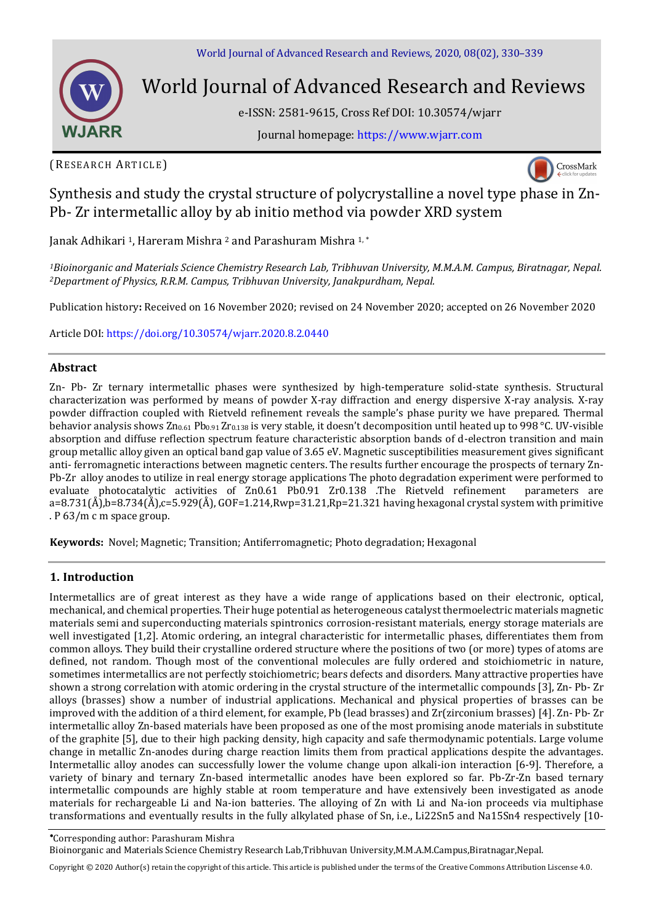

# World Journal of Advanced Research and Reviews

e-ISSN: 2581-9615, Cross Ref DOI: 10.30574/wjarr

Journal homepage: [https://www.wjarr.com](https://www.wjarr.com/)

(RESEARCH ARTICLE)



Synthesis and study the crystal structure of polycrystalline a novel type phase in Zn-Pb- Zr intermetallic alloy by ab initio method via powder XRD system

Janak Adhikari <sup>1</sup>, Hareram Mishra <sup>2</sup> and Parashuram Mishra <sup>1,\*</sup>

*<sup>1</sup>Bioinorganic and Materials Science Chemistry Research Lab, Tribhuvan University, M.M.A.M. Campus, Biratnagar, Nepal. <sup>2</sup>Department of Physics, R.R.M. Campus, Tribhuvan University, Janakpurdham, Nepal.* 

Publication history**:** Received on 16 November 2020; revised on 24 November 2020; accepted on 26 November 2020

Article DOI[: https://doi.org/10.30574/wjarr.2020.8.2.0440](https://doi.org/10.30574/wjarr.2020.8.2.0440)

# **Abstract**

Zn- Pb- Zr ternary intermetallic phases were synthesized by high-temperature solid-state synthesis. Structural characterization was performed by means of powder X-ray diffraction and energy dispersive X-ray analysis. X-ray powder diffraction coupled with Rietveld refinement reveals the sample's phase purity we have prepared. Thermal behavior analysis shows Zn<sub>0.61</sub> Pb<sub>0.91</sub> Zr<sub>0.138</sub> is very stable, it doesn't decomposition until heated up to 998 °C. UV-visible absorption and diffuse reflection spectrum feature characteristic absorption bands of d-electron transition and main group metallic alloy given an optical band gap value of 3.65 eV. Magnetic susceptibilities measurement gives significant anti- ferromagnetic interactions between magnetic centers. The results further encourage the prospects of ternary Zn-Pb-Zr alloy anodes to utilize in real energy storage applications The photo degradation experiment were performed to evaluate photocatalytic activities of Zn0.61 Pb0.91 Zr0.138 .The Rietveld refinement parameters are  $a=8.731(\text{\AA})$ ,b=8.734(Å),c=5.929(Å), GOF=1.214,Rwp=31.21,Rp=21.321 having hexagonal crystal system with primitive . P 63/m c m space group.

**Keywords:** Novel; Magnetic; Transition; Antiferromagnetic; Photo degradation; Hexagonal

# **1. Introduction**

Intermetallics are of great interest as they have a wide range of applications based on their electronic, optical, mechanical, and chemical properties. Their huge potential as heterogeneous catalyst thermoelectric materials magnetic materials semi and superconducting materials spintronics corrosion-resistant materials, energy storage materials are well investigated [1,2]. Atomic ordering, an integral characteristic for intermetallic phases, differentiates them from common alloys. They build their crystalline ordered structure where the positions of two (or more) types of atoms are defined, not random. Though most of the conventional molecules are fully ordered and stoichiometric in nature, sometimes intermetallics are not perfectly stoichiometric; bears defects and disorders. Many attractive properties have shown a strong correlation with atomic ordering in the crystal structure of the intermetallic compounds [3], Zn- Pb- Zr alloys (brasses) show a number of industrial applications. Mechanical and physical properties of brasses can be improved with the addition of a third element, for example, Pb (lead brasses) and Zr(zirconium brasses) [4]. Zn- Pb- Zr intermetallic alloy Zn-based materials have been proposed as one of the most promising anode materials in substitute of the graphite [5], due to their high packing density, high capacity and safe thermodynamic potentials. Large volume change in metallic Zn-anodes during charge reaction limits them from practical applications despite the advantages. Intermetallic alloy anodes can successfully lower the volume change upon alkali-ion interaction [6-9]. Therefore, a variety of binary and ternary Zn-based intermetallic anodes have been explored so far. Pb-Zr-Zn based ternary intermetallic compounds are highly stable at room temperature and have extensively been investigated as anode materials for rechargeable Li and Na-ion batteries. The alloying of Zn with Li and Na-ion proceeds via multiphase transformations and eventually results in the fully alkylated phase of Sn, i.e., Li22Sn5 and Na15Sn4 respectively [10-

Corresponding author: Parashuram Mishra

Bioinorganic and Materials Science Chemistry Research Lab,Tribhuvan University,M.M.A.M.Campus,Biratnagar,Nepal.

Copyright © 2020 Author(s) retain the copyright of this article. This article is published under the terms of th[e Creative Commons Attribution Liscense 4.0.](http://creativecommons.org/licenses/by/4.0/deed.en_US)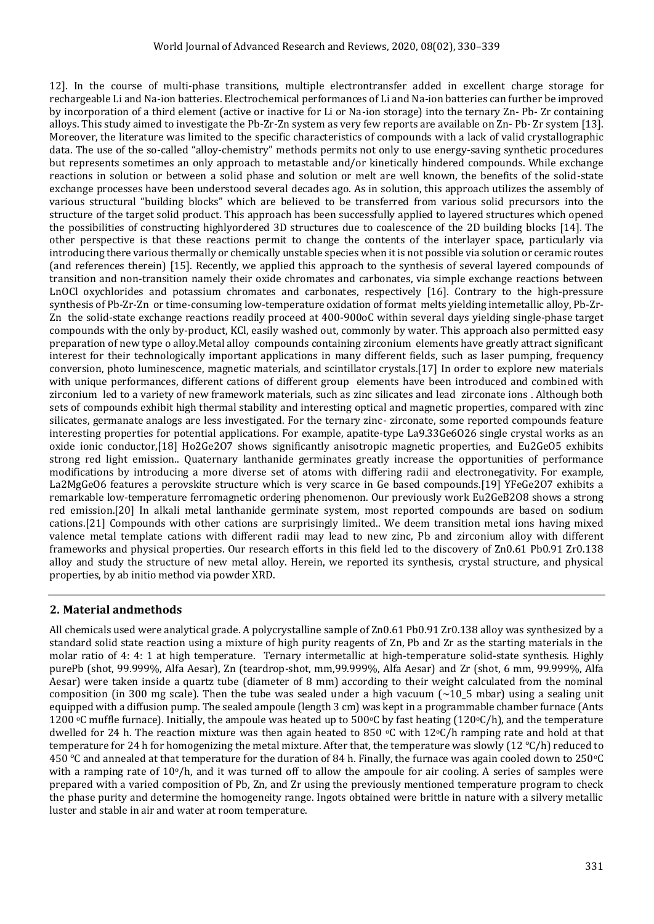12]. In the course of multi-phase transitions, multiple electrontransfer added in excellent charge storage for rechargeable Li and Na-ion batteries. Electrochemical performances of Li and Na-ion batteries can further be improved by incorporation of a third element (active or inactive for Li or Na-ion storage) into the ternary Zn- Pb- Zr containing alloys. This study aimed to investigate the Pb-Zr-Zn system as very few reports are available on Zn- Pb- Zr system [13]. Moreover, the literature was limited to the specific characteristics of compounds with a lack of valid crystallographic data. The use of the so-called "alloy-chemistry" methods permits not only to use energy-saving synthetic procedures but represents sometimes an only approach to metastable and/or kinetically hindered compounds. While exchange reactions in solution or between a solid phase and solution or melt are well known, the benefits of the solid-state exchange processes have been understood several decades ago. As in solution, this approach utilizes the assembly of various structural "building blocks" which are believed to be transferred from various solid precursors into the structure of the target solid product. This approach has been successfully applied to layered structures which opened the possibilities of constructing highlyordered 3D structures due to coalescence of the 2D building blocks [14]. The other perspective is that these reactions permit to change the contents of the interlayer space, particularly via introducing there various thermally or chemically unstable species when it is not possible via solution or ceramic routes (and references therein) [15]. Recently, we applied this approach to the synthesis of several layered compounds of transition and non-transition namely their oxide chromates and carbonates, via simple exchange reactions between LnOCl oxychlorides and potassium chromates and carbonates, respectively [16]. Contrary to the high-pressure synthesis of Pb-Zr-Zn or time-consuming low-temperature oxidation of format melts yielding intemetallic alloy, Pb-Zr-Zn the solid-state exchange reactions readily proceed at 400-900oC within several days yielding single-phase target compounds with the only by-product, KCl, easily washed out, commonly by water. This approach also permitted easy preparation of new type o alloy.Metal alloy compounds containing zirconium elements have greatly attract significant interest for their technologically important applications in many different fields, such as laser pumping, frequency conversion, photo luminescence, magnetic materials, and scintillator crystals.[17] In order to explore new materials with unique performances, different cations of different group elements have been introduced and combined with zirconium led to a variety of new framework materials, such as zinc silicates and lead zirconate ions . Although both sets of compounds exhibit high thermal stability and interesting optical and magnetic properties, compared with zinc silicates, germanate analogs are less investigated. For the ternary zinc- zirconate, some reported compounds feature interesting properties for potential applications. For example, apatite-type La9.33Ge6O26 single crystal works as an oxide ionic conductor,[18] Ho2Ge2O7 shows significantly anisotropic magnetic properties, and Eu2GeO5 exhibits strong red light emission.. Quaternary lanthanide germinates greatly increase the opportunities of performance modifications by introducing a more diverse set of atoms with differing radii and electronegativity. For example, La2MgGeO6 features a perovskite structure which is very scarce in Ge based compounds.[19] YFeGe2O7 exhibits a remarkable low-temperature ferromagnetic ordering phenomenon. Our previously work Eu2GeB2O8 shows a strong red emission.[20] In alkali metal lanthanide germinate system, most reported compounds are based on sodium cations.[21] Compounds with other cations are surprisingly limited.. We deem transition metal ions having mixed valence metal template cations with different radii may lead to new zinc, Pb and zirconium alloy with different frameworks and physical properties. Our research efforts in this field led to the discovery of Zn0.61 Pb0.91 Zr0.138 alloy and study the structure of new metal alloy. Herein, we reported its synthesis, crystal structure, and physical properties, by ab initio method via powder XRD.

# **2. Material andmethods**

All chemicals used were analytical grade. A polycrystalline sample of Zn0.61 Pb0.91 Zr0.138 alloy was synthesized by a standard solid state reaction using a mixture of high purity reagents of Zn, Pb and Zr as the starting materials in the molar ratio of 4: 4: 1 at high temperature. Ternary intermetallic at high-temperature solid-state synthesis. Highly purePb (shot, 99.999%, Alfa Aesar), Zn (teardrop-shot, mm,99.999%, Alfa Aesar) and Zr (shot, 6 mm, 99.999%, Alfa Aesar) were taken inside a quartz tube (diameter of 8 mm) according to their weight calculated from the nominal composition (in 300 mg scale). Then the tube was sealed under a high vacuum  $\sim$ 10\_5 mbar) using a sealing unit equipped with a diffusion pump. The sealed ampoule (length 3 cm) was kept in a programmable chamber furnace (Ants 1200 °C muffle furnace). Initially, the ampoule was heated up to 500°C by fast heating (120°C/h), and the temperature dwelled for 24 h. The reaction mixture was then again heated to 850 °C with 12°C/h ramping rate and hold at that temperature for 24 h for homogenizing the metal mixture. After that, the temperature was slowly (12 ℃/h) reduced to 450 ℃ and annealed at that temperature for the duration of 84 h. Finally, the furnace was again cooled down to 250oC with a ramping rate of  $10<sub>°</sub>/h$ , and it was turned off to allow the ampoule for air cooling. A series of samples were prepared with a varied composition of Pb, Zn, and Zr using the previously mentioned temperature program to check the phase purity and determine the homogeneity range. Ingots obtained were brittle in nature with a silvery metallic luster and stable in air and water at room temperature.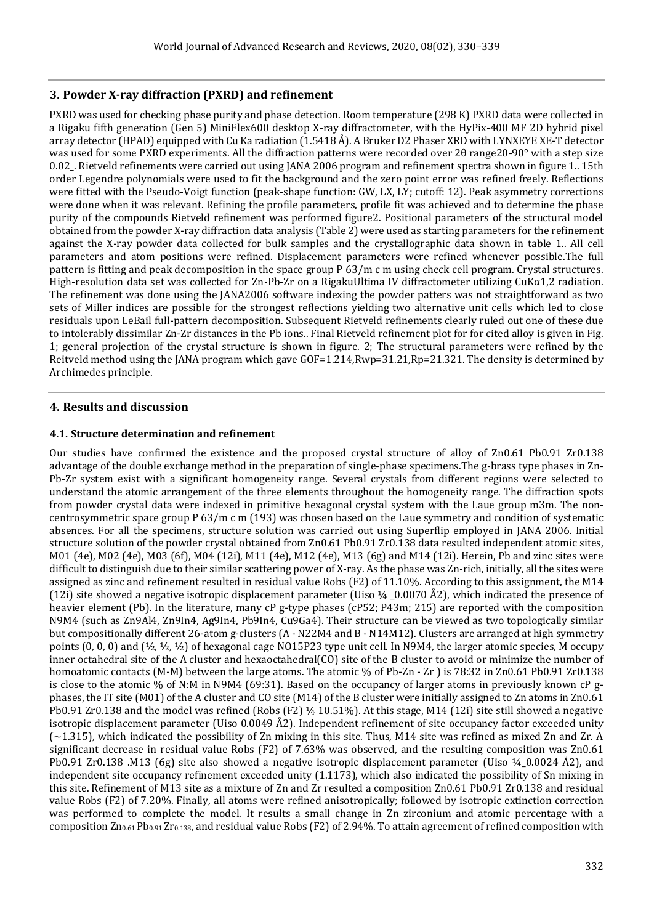# **3. Powder X-ray diffraction (PXRD) and refinement**

PXRD was used for checking phase purity and phase detection. Room temperature (298 K) PXRD data were collected in a Rigaku fifth generation (Gen 5) MiniFlex600 desktop X-ray diffractometer, with the HyPix-400 MF 2D hybrid pixel array detector (HPAD) equipped with Cu Ka radiation (1.5418 Å). A Bruker D2 Phaser XRD with LYNXEYE XE-T detector was used for some PXRD experiments. All the diffraction patterns were recorded over 20 range20-90° with a step size 0.02\_. Rietveld refinements were carried out using JANA 2006 program and refinement spectra shown in figure 1.. 15th order Legendre polynomials were used to fit the background and the zero point error was refined freely. Reflections were fitted with the Pseudo-Voigt function (peak-shape function: GW, LX, LY; cutoff: 12). Peak asymmetry corrections were done when it was relevant. Refining the profile parameters, profile fit was achieved and to determine the phase purity of the compounds Rietveld refinement was performed figure2. Positional parameters of the structural model obtained from the powder X-ray diffraction data analysis (Table 2) were used as starting parameters for the refinement against the X-ray powder data collected for bulk samples and the crystallographic data shown in table 1.. All cell parameters and atom positions were refined. Displacement parameters were refined whenever possible.The full pattern is fitting and peak decomposition in the space group P 63/m c m using check cell program. Crystal structures. High-resolution data set was collected for Zn-Pb-Zr on a RigakuUltima IV diffractometer utilizing CuKα1,2 radiation. The refinement was done using the JANA2006 software indexing the powder patters was not straightforward as two sets of Miller indices are possible for the strongest reflections yielding two alternative unit cells which led to close residuals upon LeBail full-pattern decomposition. Subsequent Rietveld refinements clearly ruled out one of these due to intolerably dissimilar Zn-Zr distances in the Pb ions.. Final Rietveld refinement plot for for cited alloy is given in Fig. 1; general projection of the crystal structure is shown in figure. 2; The structural parameters were refined by the Reitveld method using the JANA program which gave GOF=1.214,Rwp=31.21,Rp=21.321. The density is determined by Archimedes principle.

# **4. Results and discussion**

# **4.1. Structure determination and refinement**

Our studies have confirmed the existence and the proposed crystal structure of alloy of Zn0.61 Pb0.91 Zr0.138 advantage of the double exchange method in the preparation of single-phase specimens.The g-brass type phases in Zn-Pb-Zr system exist with a significant homogeneity range. Several crystals from different regions were selected to understand the atomic arrangement of the three elements throughout the homogeneity range. The diffraction spots from powder crystal data were indexed in primitive hexagonal crystal system with the Laue group m3m. The noncentrosymmetric space group P 63/m c m (193) was chosen based on the Laue symmetry and condition of systematic absences. For all the specimens, structure solution was carried out using Superflip employed in JANA 2006. Initial structure solution of the powder crystal obtained from Zn0.61 Pb0.91 Zr0.138 data resulted independent atomic sites, M01 (4e), M02 (4e), M03 (6f), M04 (12i), M11 (4e), M12 (4e), M13 (6g) and M14 (12i). Herein, Pb and zinc sites were difficult to distinguish due to their similar scattering power of X-ray. As the phase was Zn-rich, initially, all the sites were assigned as zinc and refinement resulted in residual value Robs (F2) of 11.10%. According to this assignment, the M14 (12i) site showed a negative isotropic displacement parameter (Uiso  $\frac{1}{4}$  \_0.0070 Å2), which indicated the presence of heavier element (Pb). In the literature, many cP g-type phases (cP52; P43m; 215) are reported with the composition N9M4 (such as Zn9Al4, Zn9In4, Ag9In4, Pb9In4, Cu9Ga4). Their structure can be viewed as two topologically similar but compositionally different 26-atom g-clusters (A - N22M4 and B - N14M12). Clusters are arranged at high symmetry points  $(0, 0, 0)$  and  $(\frac{1}{2}, \frac{1}{2}, \frac{1}{2})$  of hexagonal cage NO15P23 type unit cell. In N9M4, the larger atomic species, M occupy inner octahedral site of the A cluster and hexaoctahedral(CO) site of the B cluster to avoid or minimize the number of homoatomic contacts (M-M) between the large atoms. The atomic % of Pb-Zn - Zr ) is 78:32 in Zn0.61 Pb0.91 Zr0.138 is close to the atomic % of N:M in N9M4 (69:31). Based on the occupancy of larger atoms in previously known cP gphases, the IT site (M01) of the A cluster and CO site (M14) of the B cluster were initially assigned to Zn atoms in Zn0.61 Pb0.91 Zr0.138 and the model was refined (Robs  $(F2)$  ¼ 10.51%). At this stage, M14 (12i) site still showed a negative isotropic displacement parameter (Uiso 0.0049 Å2). Independent refinement of site occupancy factor exceeded unity  $\sim$  1.315), which indicated the possibility of Zn mixing in this site. Thus, M14 site was refined as mixed Zn and Zr. A significant decrease in residual value Robs (F2) of 7.63% was observed, and the resulting composition was Zn0.61 Pb0.91 Zr0.138 .M13 (6g) site also showed a negative isotropic displacement parameter (Uiso ¼\_0.0024 Å2), and independent site occupancy refinement exceeded unity (1.1173), which also indicated the possibility of Sn mixing in this site. Refinement of M13 site as a mixture of Zn and Zr resulted a composition Zn0.61 Pb0.91 Zr0.138 and residual value Robs (F2) of 7.20%. Finally, all atoms were refined anisotropically; followed by isotropic extinction correction was performed to complete the model. It results a small change in Zn zirconium and atomic percentage with a composition  $Zn_{0.61}Pb_{0.91}Zr_{0.138}$ , and residual value Robs (F2) of 2.94%. To attain agreement of refined composition with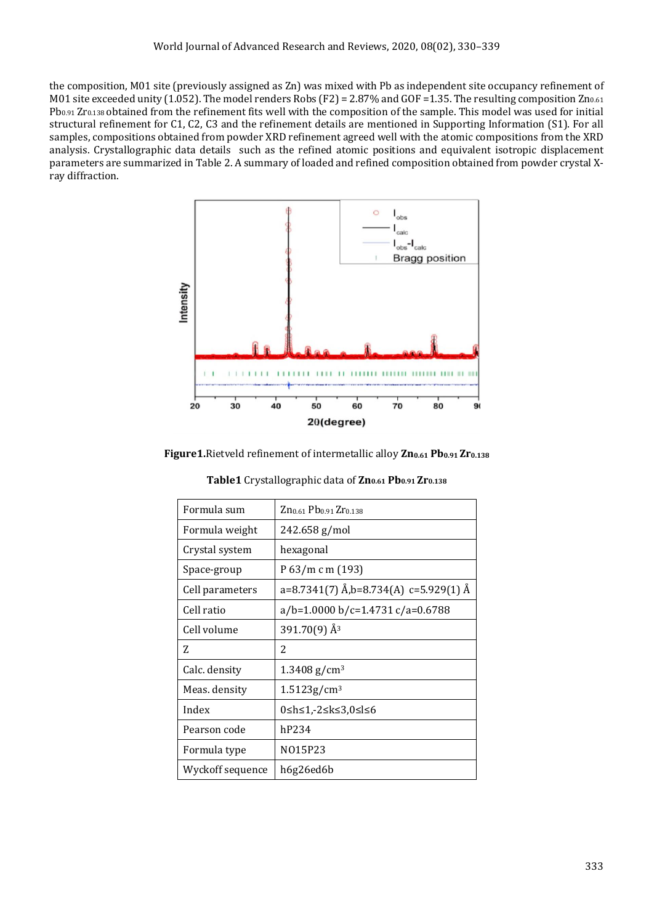the composition, M01 site (previously assigned as Zn) was mixed with Pb as independent site occupancy refinement of M01 site exceeded unity (1.052). The model renders Robs (F2) = 2.87% and GOF = 1.35. The resulting composition  $Zn_{0.61}$ Pb<sub>0.91</sub> Zr<sub>0.138</sub> obtained from the refinement fits well with the composition of the sample. This model was used for initial structural refinement for C1, C2, C3 and the refinement details are mentioned in Supporting Information (S1). For all samples, compositions obtained from powder XRD refinement agreed well with the atomic compositions from the XRD analysis. Crystallographic data details such as the refined atomic positions and equivalent isotropic displacement parameters are summarized in Table 2. A summary of loaded and refined composition obtained from powder crystal Xray diffraction.



**Figure1.**Rietveld refinement of intermetallic alloy **Zn0.61 Pb0.91 Zr0.138**

| Formula sum      | Zn <sub>0.61</sub> Pb <sub>0.91</sub> Zr <sub>0.138</sub> |  |  |  |
|------------------|-----------------------------------------------------------|--|--|--|
| Formula weight   | 242.658 g/mol                                             |  |  |  |
| Crystal system   | hexagonal                                                 |  |  |  |
| Space-group      | P 63/m c m (193)                                          |  |  |  |
| Cell parameters  | a=8.7341(7) Å,b=8.734(A) c=5.929(1) Å                     |  |  |  |
| Cell ratio       | $a/b = 1.0000 b/c = 1.4731 c/a = 0.6788$                  |  |  |  |
| Cell volume      | $391.70(9)$ Å <sup>3</sup>                                |  |  |  |
| Z                | 2                                                         |  |  |  |
| Calc. density    | $1.3408$ g/cm <sup>3</sup>                                |  |  |  |
| Meas. density    | $1.5123$ g/cm <sup>3</sup>                                |  |  |  |
| Index            | 0≤h≤1,-2≤k≤3,0≤l≤6                                        |  |  |  |
| Pearson code     | hP234                                                     |  |  |  |
| Formula type     | N015P23                                                   |  |  |  |
| Wyckoff sequence | h6g26ed6b                                                 |  |  |  |

**Table1** Crystallographic data of **Zn0.61 Pb0.91 Zr0.138**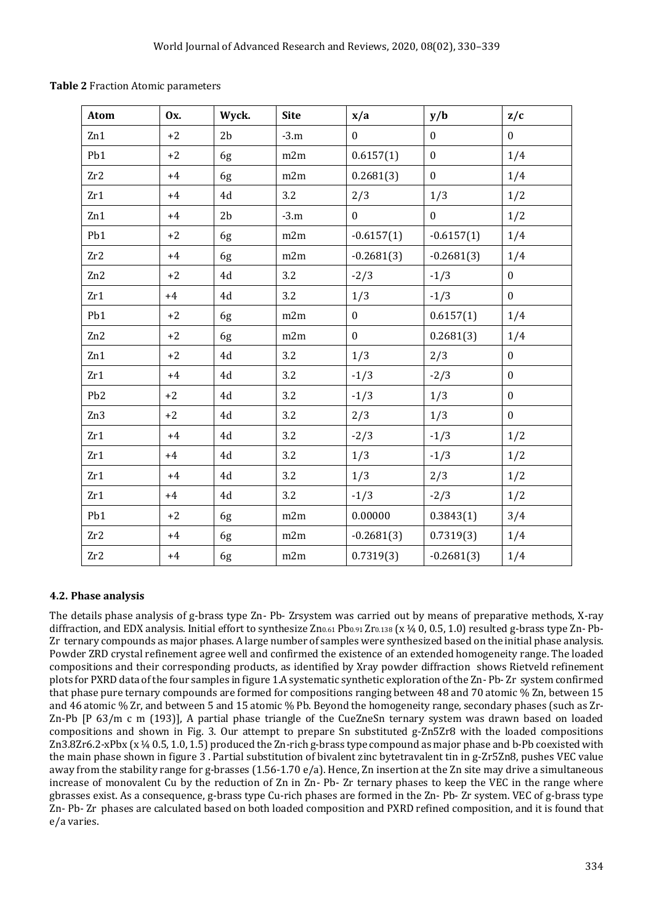| Atom            | <b>Ox.</b> | Wyck.          | <b>Site</b> | x/a              | y/b              | z/c              |
|-----------------|------------|----------------|-------------|------------------|------------------|------------------|
| Zn1             | $+2$       | 2 <sub>b</sub> | $-3.m$      | $\boldsymbol{0}$ | $\mathbf{0}$     | $\boldsymbol{0}$ |
| Pb1             | $+2$       | 6g             | m2m         | 0.6157(1)        | $\mathbf{0}$     | 1/4              |
| Zr2             | $+4$       | 6g             | m2m         | 0.2681(3)        | $\boldsymbol{0}$ | 1/4              |
| Zr1             | $+4$       | 4d             | 3.2         | 2/3              | 1/3              | 1/2              |
| Zn1             | $+4$       | 2 <sub>b</sub> | $-3.m$      | $\boldsymbol{0}$ | $\boldsymbol{0}$ | 1/2              |
| Pb1             | $+2$       | 6g             | m2m         | $-0.6157(1)$     | $-0.6157(1)$     | 1/4              |
| Zr2             | $+4$       | 6g             | m2m         | $-0.2681(3)$     | $-0.2681(3)$     | 1/4              |
| Zn2             | $+2$       | $4\mathrm{d}$  | 3.2         | $-2/3$           | $-1/3$           | $\boldsymbol{0}$ |
| Zr1             | $+4$       | 4d             | 3.2         | 1/3              | $-1/3$           | $\mathbf{0}$     |
| Pb1             | $+2$       | 6g             | m2m         | $\mathbf{0}$     | 0.6157(1)        | 1/4              |
| Zn2             | $+2$       | 6g             | m2m         | $\boldsymbol{0}$ | 0.2681(3)        | 1/4              |
| Zn1             | $+2$       | 4d             | 3.2         | 1/3              | 2/3              | $\boldsymbol{0}$ |
| Zr1             | $+4$       | 4d             | 3.2         | $-1/3$           | $-2/3$           | $\mathbf{0}$     |
| Pb <sub>2</sub> | $+2$       | 4d             | 3.2         | $-1/3$           | 1/3              | $\boldsymbol{0}$ |
| Zn <sub>3</sub> | $+2$       | 4d             | 3.2         | 2/3              | 1/3              | $\mathbf{0}$     |
| Zr1             | $+4$       | 4d             | 3.2         | $-2/3$           | $-1/3$           | 1/2              |
| Zr1             | $+4$       | 4d             | 3.2         | 1/3              | $-1/3$           | 1/2              |
| Zr1             | $+4$       | 4d             | 3.2         | 1/3              | 2/3              | 1/2              |
| Zr1             | $+4$       | 4d             | 3.2         | $-1/3$           | $-2/3$           | 1/2              |
| Pb1             | $+2$       | 6g             | m2m         | 0.00000          | 0.3843(1)        | 3/4              |
| Zr2             | $+4$       | 6g             | m2m         | $-0.2681(3)$     | 0.7319(3)        | 1/4              |
| Zr2             | $+4$       | 6g             | m2m         | 0.7319(3)        | $-0.2681(3)$     | 1/4              |

**Table 2** Fraction Atomic parameters

# **4.2. Phase analysis**

The details phase analysis of g-brass type Zn- Pb- Zrsystem was carried out by means of preparative methods, X-ray diffraction, and EDX analysis. Initial effort to synthesize  $Zn_{0.61}Pb_{0.91}Zr_{0.138}$  (x ¼ 0, 0.5, 1.0) resulted g-brass type Zn- Pb-Zr ternary compounds as major phases. A large number of samples were synthesized based on the initial phase analysis. Powder ZRD crystal refinement agree well and confirmed the existence of an extended homogeneity range. The loaded compositions and their corresponding products, as identified by Xray powder diffraction shows Rietveld refinement plots for PXRD data of the four samples in figure 1.A systematic synthetic exploration of the Zn- Pb- Zr system confirmed that phase pure ternary compounds are formed for compositions ranging between 48 and 70 atomic % Zn, between 15 and 46 atomic % Zr, and between 5 and 15 atomic % Pb. Beyond the homogeneity range, secondary phases (such as Zr-Zn-Pb [P 63/m c m (193)], A partial phase triangle of the CueZneSn ternary system was drawn based on loaded compositions and shown in Fig. 3. Our attempt to prepare Sn substituted g-Zn5Zr8 with the loaded compositions Zn3.8Zr6.2-xPbx (x ¼ 0.5, 1.0, 1.5) produced the Zn-rich g-brass type compound as major phase and b-Pb coexisted with the main phase shown in figure 3 . Partial substitution of bivalent zinc bytetravalent tin in g-Zr5Zn8, pushes VEC value away from the stability range for g-brasses (1.56-1.70 e/a). Hence, Zn insertion at the Zn site may drive a simultaneous increase of monovalent Cu by the reduction of Zn in Zn- Pb- Zr ternary phases to keep the VEC in the range where gbrasses exist. As a consequence, g-brass type Cu-rich phases are formed in the Zn- Pb- Zr system. VEC of g-brass type Zn- Pb- Zr phases are calculated based on both loaded composition and PXRD refined composition, and it is found that e/a varies.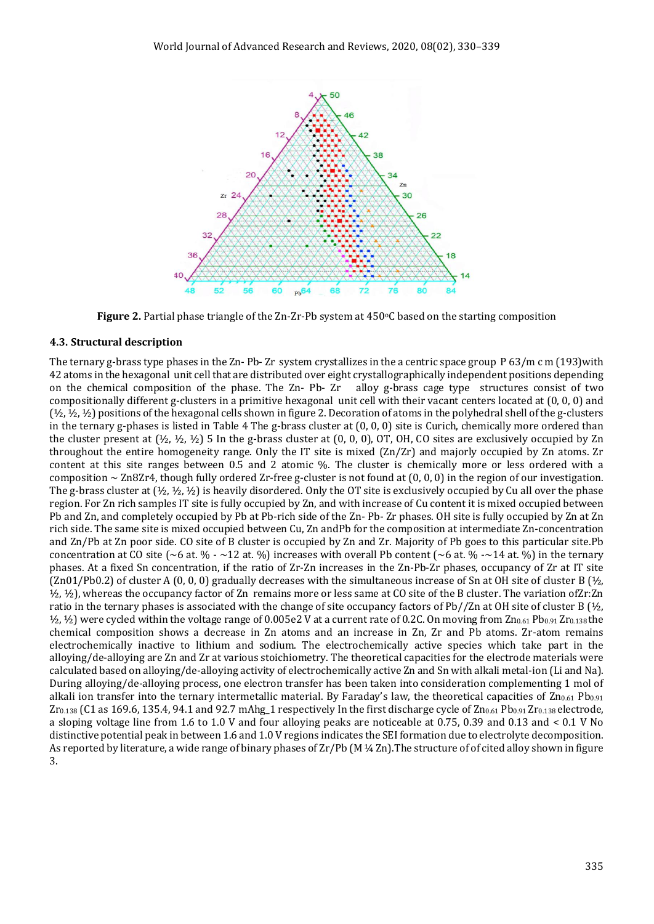

**Figure 2.** Partial phase triangle of the Zn-Zr-Pb system at 450°C based on the starting composition

#### **4.3. Structural description**

The ternary g-brass type phases in the Zn- Pb- Zr system crystallizes in the a centric space group P 63/m c m (193)with 42 atoms in the hexagonal unit cell that are distributed over eight crystallographically independent positions depending on the chemical composition of the phase. The Zn- Pb- Zr alloy g-brass cage type structures consist of two compositionally different g-clusters in a primitive hexagonal unit cell with their vacant centers located at (0, 0, 0) and (½, ½, ½) positions of the hexagonal cells shown in figure 2. Decoration of atoms in the polyhedral shell of the g-clusters in the ternary g-phases is listed in Table 4 The g-brass cluster at (0, 0, 0) site is Curich, chemically more ordered than the cluster present at  $(\frac{1}{2}, \frac{1}{2}, \frac{1}{2})$  5 In the g-brass cluster at  $(0, 0, 0)$ , OT, OH, CO sites are exclusively occupied by Zn throughout the entire homogeneity range. Only the IT site is mixed (Zn/Zr) and majorly occupied by Zn atoms. Zr content at this site ranges between 0.5 and 2 atomic %. The cluster is chemically more or less ordered with a composition  $\sim$  Zn8Zr4, though fully ordered Zr-free g-cluster is not found at  $(0, 0, 0)$  in the region of our investigation. The g-brass cluster at  $(\frac{1}{2}, \frac{1}{2}, \frac{1}{2})$  is heavily disordered. Only the OT site is exclusively occupied by Cu all over the phase region. For Zn rich samples IT site is fully occupied by Zn, and with increase of Cu content it is mixed occupied between Pb and Zn, and completely occupied by Pb at Pb-rich side of the Zn- Pb- Zr phases. OH site is fully occupied by Zn at Zn rich side. The same site is mixed occupied between Cu, Zn andPb for the composition at intermediate Zn-concentration and Zn/Pb at Zn poor side. CO site of B cluster is occupied by Zn and Zr. Majority of Pb goes to this particular site.Pb concentration at CO site (~6 at. % - ~12 at. %) increases with overall Pb content (~6 at. % -~14 at. %) in the ternary phases. At a fixed Sn concentration, if the ratio of Zr-Zn increases in the Zn-Pb-Zr phases, occupancy of Zr at IT site  $(Zn01/Pb0.2)$  of cluster A  $(0, 0, 0)$  gradually decreases with the simultaneous increase of Sn at OH site of cluster B  $(\frac{1}{2}, \frac{1}{2})$ ½, ½), whereas the occupancy factor of Zn remains more or less same at CO site of the B cluster. The variation ofZr:Zn ratio in the ternary phases is associated with the change of site occupancy factors of Pb//Zn at OH site of cluster B  $[\frac{1}{2},$  $\frac{1}{2}$ ,  $\frac{1}{2}$ ) were cycled within the voltage range of 0.005e2 V at a current rate of 0.2C. On moving from  $Zn_{0.61}Pb_{0.91}Zr_{0.138}$  the chemical composition shows a decrease in Zn atoms and an increase in Zn, Zr and Pb atoms. Zr-atom remains electrochemically inactive to lithium and sodium. The electrochemically active species which take part in the alloying/de-alloying are Zn and Zr at various stoichiometry. The theoretical capacities for the electrode materials were calculated based on alloying/de-alloying activity of electrochemically active Zn and Sn with alkali metal-ion (Li and Na). During alloying/de-alloying process, one electron transfer has been taken into consideration complementing 1 mol of alkali ion transfer into the ternary intermetallic material. By Faraday's law, the theoretical capacities of  $Zn_{0.61}$  Pb<sub>0.91</sub>  $Zr_{0.138}$  (C1 as 169.6, 135.4, 94.1 and 92.7 mAhg\_1 respectively In the first discharge cycle of  $Zn_{0.61}$  Pb<sub>0.91</sub> Zr<sub>0.138</sub> electrode, a sloping voltage line from 1.6 to 1.0 V and four alloying peaks are noticeable at 0.75, 0.39 and 0.13 and < 0.1 V No distinctive potential peak in between 1.6 and 1.0 V regions indicates the SEI formation due to electrolyte decomposition. As reported by literature, a wide range of binary phases of Zr/Pb (M ¼ Zn).The structure of of cited alloy shown in figure 3.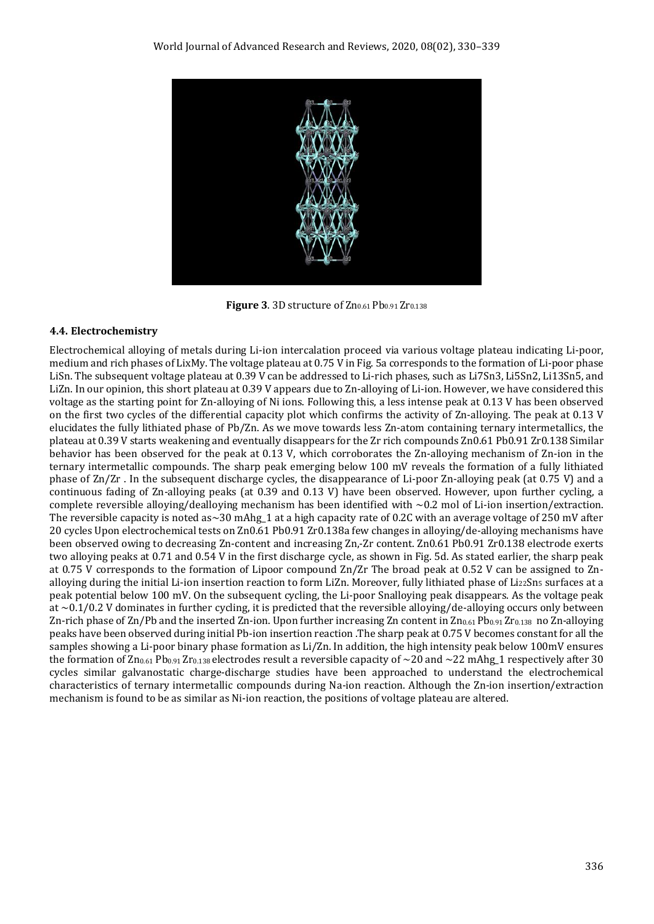

Figure 3. 3D structure of Zn<sub>0.61</sub> Pb<sub>0.91</sub> Zr<sub>0.138</sub>

## **4.4. Electrochemistry**

Electrochemical alloying of metals during Li-ion intercalation proceed via various voltage plateau indicating Li-poor, medium and rich phases of LixMy. The voltage plateau at 0.75 V in Fig. 5a corresponds to the formation of Li-poor phase LiSn. The subsequent voltage plateau at 0.39 V can be addressed to Li-rich phases, such as Li7Sn3, Li5Sn2, Li13Sn5, and LiZn. In our opinion, this short plateau at 0.39 V appears due to Zn-alloying of Li-ion. However, we have considered this voltage as the starting point for Zn-alloying of Ni ions. Following this, a less intense peak at 0.13 V has been observed on the first two cycles of the differential capacity plot which confirms the activity of Zn-alloying. The peak at 0.13 V elucidates the fully lithiated phase of Pb/Zn. As we move towards less Zn-atom containing ternary intermetallics, the plateau at 0.39 V starts weakening and eventually disappears for the Zr rich compounds Zn0.61 Pb0.91 Zr0.138 Similar behavior has been observed for the peak at 0.13 V, which corroborates the Zn-alloying mechanism of Zn-ion in the ternary intermetallic compounds. The sharp peak emerging below 100 mV reveals the formation of a fully lithiated phase of Zn/Zr . In the subsequent discharge cycles, the disappearance of Li-poor Zn-alloying peak (at 0.75 V) and a continuous fading of Zn-alloying peaks (at 0.39 and 0.13 V) have been observed. However, upon further cycling, a complete reversible alloying/dealloying mechanism has been identified with  $\sim 0.2$  mol of Li-ion insertion/extraction. The reversible capacity is noted as $\sim$ 30 mAhg\_1 at a high capacity rate of 0.2C with an average voltage of 250 mV after 20 cycles Upon electrochemical tests on Zn0.61 Pb0.91 Zr0.138a few changes in alloying/de-alloying mechanisms have been observed owing to decreasing Zn-content and increasing Zn,-Zr content. Zn0.61 Pb0.91 Zr0.138 electrode exerts two alloying peaks at 0.71 and 0.54 V in the first discharge cycle, as shown in Fig. 5d. As stated earlier, the sharp peak at 0.75 V corresponds to the formation of Lipoor compound Zn/Zr The broad peak at 0.52 V can be assigned to Znalloying during the initial Li-ion insertion reaction to form LiZn. Moreover, fully lithiated phase of Li<sub>22</sub>Sn<sub>5</sub> surfaces at a peak potential below 100 mV. On the subsequent cycling, the Li-poor Snalloying peak disappears. As the voltage peak at  $\sim$ 0.1/0.2 V dominates in further cycling, it is predicted that the reversible alloying/de-alloying occurs only between Zn-rich phase of Zn/Pb and the inserted Zn-ion. Upon further increasing Zn content in  $Zn_{0.61}Pb_{0.91}Zr_{0.138}$  no Zn-alloying peaks have been observed during initial Pb-ion insertion reaction .The sharp peak at 0.75 V becomes constant for all the samples showing a Li-poor binary phase formation as Li/Zn. In addition, the high intensity peak below 100mV ensures the formation of  $Zn_{0.61}Pb_{0.91}Zr_{0.138}$  electrodes result a reversible capacity of  $\sim$ 20 and  $\sim$ 22 mAhg\_1 respectively after 30 cycles similar galvanostatic charge-discharge studies have been approached to understand the electrochemical characteristics of ternary intermetallic compounds during Na-ion reaction. Although the Zn-ion insertion/extraction mechanism is found to be as similar as Ni-ion reaction, the positions of voltage plateau are altered.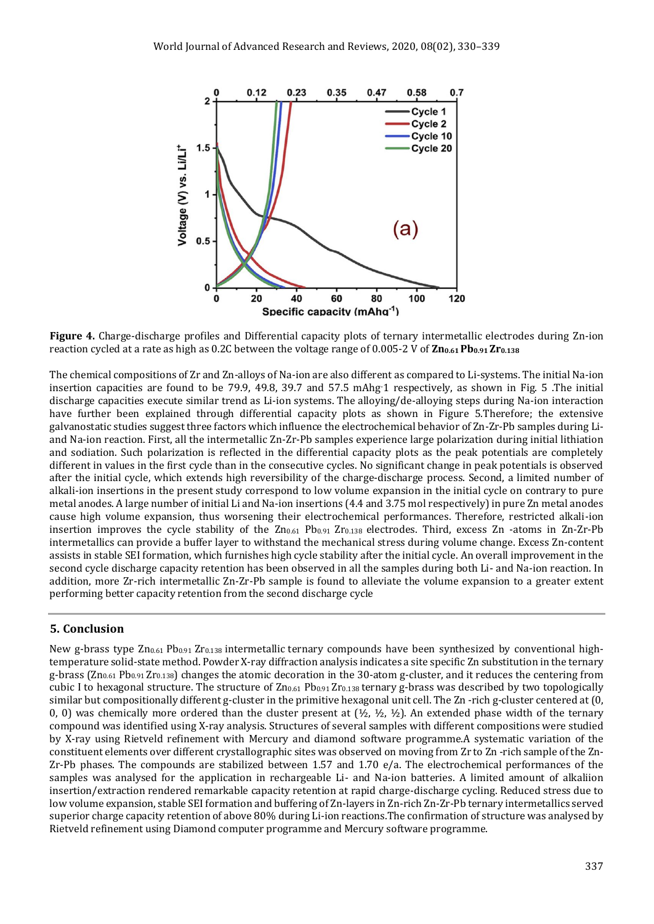

**Figure 4.** Charge-discharge profiles and Differential capacity plots of ternary intermetallic electrodes during Zn-ion reaction cycled at a rate as high as 0.2C between the voltage range of 0.005-2 V of **Zn0.61 Pb0.91 Zr0.138**

The chemical compositions of Zr and Zn-alloys of Na-ion are also different as compared to Li-systems. The initial Na-ion insertion capacities are found to be 79.9, 49.8, 39.7 and 57.5 mAhg-1 respectively, as shown in Fig. 5 .The initial discharge capacities execute similar trend as Li-ion systems. The alloying/de-alloying steps during Na-ion interaction have further been explained through differential capacity plots as shown in Figure 5.Therefore; the extensive galvanostatic studies suggest three factors which influence the electrochemical behavior of Zn-Zr-Pb samples during Liand Na-ion reaction. First, all the intermetallic Zn-Zr-Pb samples experience large polarization during initial lithiation and sodiation. Such polarization is reflected in the differential capacity plots as the peak potentials are completely different in values in the first cycle than in the consecutive cycles. No significant change in peak potentials is observed after the initial cycle, which extends high reversibility of the charge-discharge process. Second, a limited number of alkali-ion insertions in the present study correspond to low volume expansion in the initial cycle on contrary to pure metal anodes. A large number of initial Li and Na-ion insertions (4.4 and 3.75 mol respectively) in pure Zn metal anodes cause high volume expansion, thus worsening their electrochemical performances. Therefore, restricted alkali-ion insertion improves the cycle stability of the  $Zn_{0.61}$   $Pb_{0.91}$   $Zr_{0.138}$  electrodes. Third, excess  $Zn$  -atoms in  $Zn$ - $Zr$ - $Pb$ intermetallics can provide a buffer layer to withstand the mechanical stress during volume change. Excess Zn-content assists in stable SEI formation, which furnishes high cycle stability after the initial cycle. An overall improvement in the second cycle discharge capacity retention has been observed in all the samples during both Li- and Na-ion reaction. In addition, more Zr-rich intermetallic Zn-Zr-Pb sample is found to alleviate the volume expansion to a greater extent performing better capacity retention from the second discharge cycle

## **5. Conclusion**

New g-brass type Zn<sub>0.61</sub> Pb<sub>0.91</sub> Zr<sub>0.138</sub> intermetallic ternary compounds have been synthesized by conventional hightemperature solid-state method. Powder X-ray diffraction analysis indicates a site specific Zn substitution in the ternary g-brass ( $Zn_{0.61}$  Pb<sub>0.91</sub> Zr<sub>0.138</sub>) changes the atomic decoration in the 30-atom g-cluster, and it reduces the centering from cubic I to hexagonal structure. The structure of Zn0.61 Pb0.91 Zr0.138 ternary g-brass was described by two topologically similar but compositionally different g-cluster in the primitive hexagonal unit cell. The Zn -rich g-cluster centered at (0, 0, 0) was chemically more ordered than the cluster present at  $(\frac{1}{2}, \frac{1}{2}, \frac{1}{2})$ . An extended phase width of the ternary compound was identified using X-ray analysis. Structures of several samples with different compositions were studied by X-ray using Rietveld refinement with Mercury and diamond software programme.A systematic variation of the constituent elements over different crystallographic sites was observed on moving from Zr to Zn -rich sample of the Zn-Zr-Pb phases. The compounds are stabilized between 1.57 and 1.70 e/a. The electrochemical performances of the samples was analysed for the application in rechargeable Li- and Na-ion batteries. A limited amount of alkaliion insertion/extraction rendered remarkable capacity retention at rapid charge-discharge cycling. Reduced stress due to low volume expansion, stable SEI formation and buffering of Zn-layers in Zn-rich Zn-Zr-Pb ternary intermetallics served superior charge capacity retention of above 80% during Li-ion reactions.The confirmation of structure was analysed by Rietveld refinement using Diamond computer programme and Mercury software programme.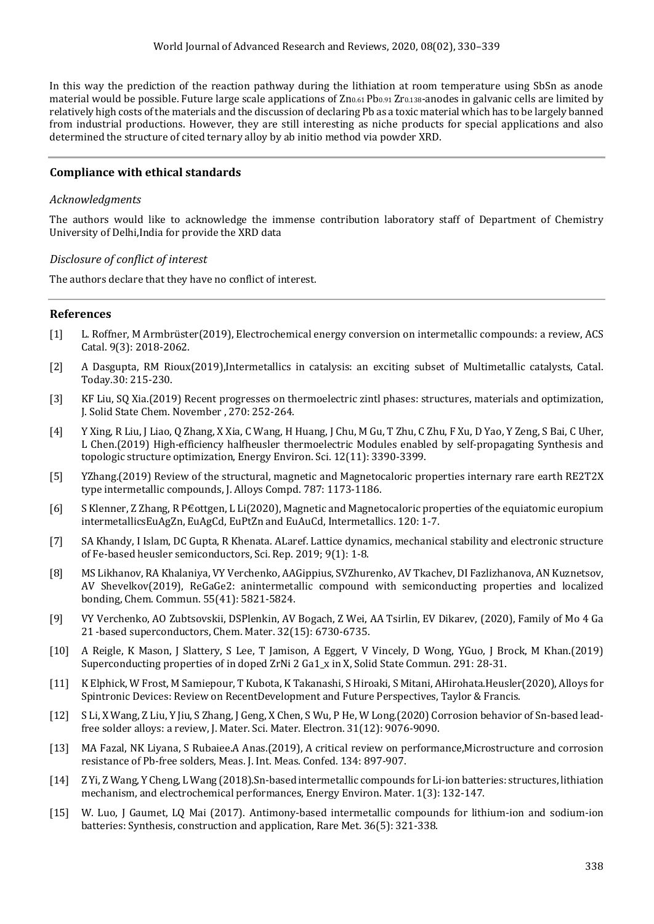In this way the prediction of the reaction pathway during the lithiation at room temperature using SbSn as anode material would be possible. Future large scale applications of  $Zn_{0.61}Pb_{0.91}Zr_{0.138}$ -anodes in galvanic cells are limited by relatively high costs of the materials and the discussion of declaring Pb as a toxic material which has to be largely banned from industrial productions. However, they are still interesting as niche products for special applications and also determined the structure of cited ternary alloy by ab initio method via powder XRD.

## **Compliance with ethical standards**

## *Acknowledgments*

The authors would like to acknowledge the immense contribution laboratory staff of Department of Chemistry University of Delhi,India for provide the XRD data

## *Disclosure of conflict of interest*

The authors declare that they have no conflict of interest.

### **References**

- [1] L. Roffner, M Armbrüster(2019), Electrochemical energy conversion on intermetallic compounds: a review, ACS Catal. 9(3): 2018-2062.
- [2] A Dasgupta, RM Rioux(2019),Intermetallics in catalysis: an exciting subset of Multimetallic catalysts, Catal. Today.30: 215-230.
- [3] KF Liu, SQ Xia.(2019) Recent progresses on thermoelectric zintl phases: structures, materials and optimization, J. Solid State Chem. November , 270: 252-264.
- [4] Y Xing, R Liu, J Liao, Q Zhang, X Xia, C Wang, H Huang, J Chu, M Gu, T Zhu, C Zhu, F Xu, D Yao, Y Zeng, S Bai, C Uher, L Chen.(2019) High-efficiency halfheusler thermoelectric Modules enabled by self-propagating Synthesis and topologic structure optimization, Energy Environ. Sci. 12(11): 3390-3399.
- [5] YZhang.(2019) Review of the structural, magnetic and Magnetocaloric properties internary rare earth RE2T2X type intermetallic compounds, J. Alloys Compd. 787: 1173-1186.
- [6] S Klenner, Z Zhang, R P€ottgen, L Li(2020), Magnetic and Magnetocaloric properties of the equiatomic europium intermetallicsEuAgZn, EuAgCd, EuPtZn and EuAuCd, Intermetallics. 120: 1-7.
- [7] SA Khandy, I Islam, DC Gupta, R Khenata. ALaref. Lattice dynamics, mechanical stability and electronic structure of Fe-based heusler semiconductors, Sci. Rep. 2019; 9(1): 1-8.
- [8] MS Likhanov, RA Khalaniya, VY Verchenko, AAGippius, SVZhurenko, AV Tkachev, DI Fazlizhanova, AN Kuznetsov, AV Shevelkov(2019), ReGaGe2: anintermetallic compound with semiconducting properties and localized bonding, Chem. Commun. 55(41): 5821-5824.
- [9] VY Verchenko, AO Zubtsovskii, DSPlenkin, AV Bogach, Z Wei, AA Tsirlin, EV Dikarev, (2020), Family of Mo 4 Ga 21 -based superconductors, Chem. Mater. 32(15): 6730-6735.
- [10] A Reigle, K Mason, J Slattery, S Lee, T Jamison, A Eggert, V Vincely, D Wong, YGuo, J Brock, M Khan.(2019) Superconducting properties of in doped ZrNi 2 Ga1\_x in X, Solid State Commun. 291: 28-31.
- [11] K Elphick, W Frost, M Samiepour, T Kubota, K Takanashi, S Hiroaki, S Mitani, AHirohata.Heusler(2020), Alloys for Spintronic Devices: Review on RecentDevelopment and Future Perspectives, Taylor & Francis.
- [12] S Li, X Wang, Z Liu, Y Jiu, S Zhang, J Geng, X Chen, S Wu, P He, W Long.(2020) Corrosion behavior of Sn-based leadfree solder alloys: a review, J. Mater. Sci. Mater. Electron. 31(12): 9076-9090.
- [13] MA Fazal, NK Liyana, S Rubaiee.A Anas.(2019), A critical review on performance,Microstructure and corrosion resistance of Pb-free solders, Meas. J. Int. Meas. Confed. 134: 897-907.
- [14] Z Yi, Z Wang, Y Cheng, L Wang (2018).Sn-based intermetallic compounds for Li-ion batteries: structures, lithiation mechanism, and electrochemical performances, Energy Environ. Mater. 1(3): 132-147.
- [15] W. Luo, J Gaumet, LQ Mai (2017). Antimony-based intermetallic compounds for lithium-ion and sodium-ion batteries: Synthesis, construction and application, Rare Met. 36(5): 321-338.